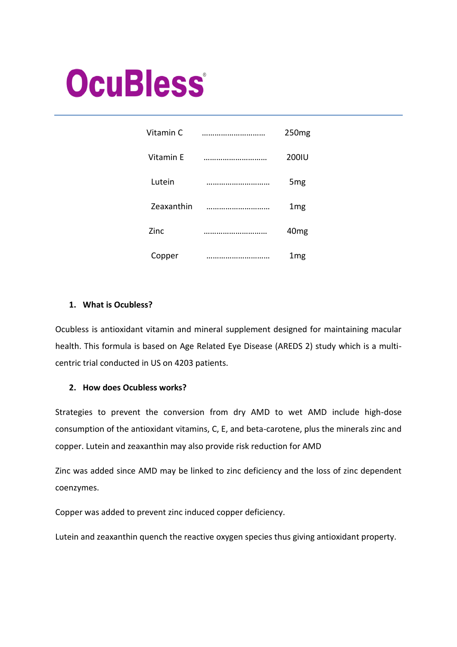# **OcuBless**

| Vitamin C  | . | 250 <sub>mg</sub> |
|------------|---|-------------------|
| Vitamin E  |   | 200IU             |
| Lutein     |   | 5 <sub>mg</sub>   |
| Zeaxanthin |   | 1 <sub>mg</sub>   |
| Zinc       |   | 40 <sub>mg</sub>  |
| Copper     | . | 1mg               |

# **1. What is Ocubless?**

Ocubless is antioxidant vitamin and mineral supplement designed for maintaining macular health. This formula is based on Age Related Eye Disease (AREDS 2) study which is a multicentric trial conducted in US on 4203 patients.

## **2. How does Ocubless works?**

Strategies to prevent the conversion from dry AMD to wet AMD include high-dose consumption of the antioxidant vitamins, C, E, and beta-carotene, plus the minerals zinc and copper. Lutein and zeaxanthin may also provide risk reduction for AMD

Zinc was added since AMD may be linked to zinc deficiency and the loss of zinc dependent coenzymes.

Copper was added to prevent zinc induced copper deficiency.

Lutein and zeaxanthin quench the reactive oxygen species thus giving antioxidant property.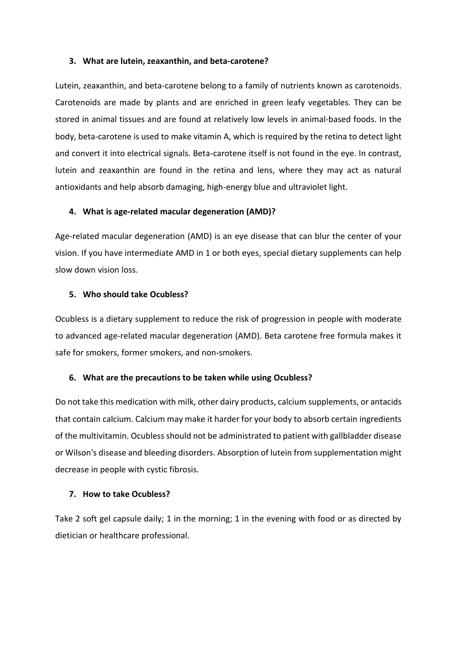#### **3. What are lutein, zeaxanthin, and beta-carotene?**

Lutein, zeaxanthin, and beta-carotene belong to a family of nutrients known as carotenoids. Carotenoids are made by plants and are enriched in green leafy vegetables. They can be stored in animal tissues and are found at relatively low levels in animal-based foods. In the body, beta-carotene is used to make vitamin A, which is required by the retina to detect light and convert it into electrical signals. Beta-carotene itself is not found in the eye. In contrast, lutein and zeaxanthin are found in the retina and lens, where they may act as natural antioxidants and help absorb damaging, high-energy blue and ultraviolet light.

#### **4. What is age-related macular degeneration (AMD)?**

Age-related macular degeneration (AMD) is an eye disease that can blur the center of your vision. If you have intermediate AMD in 1 or both eyes, special dietary supplements can help slow down vision loss.

#### **5. Who should take Ocubless?**

Ocubless is a dietary supplement to reduce the risk of progression in people with moderate to advanced age-related macular degeneration (AMD). Beta carotene free formula makes it safe for smokers, former smokers, and non-smokers.

#### **6. What are the precautions to be taken while using Ocubless?**

Do not take this medication with milk, other dairy products, calcium supplements, or antacids that contain calcium. Calcium may make it harder for your body to absorb certain ingredients of the multivitamin. Ocubless should not be administrated to patient with gallbladder disease or Wilson's disease and bleeding disorders. Absorption of lutein from supplementation might decrease in people with cystic fibrosis.

#### **7. How to take Ocubless?**

Take 2 soft gel capsule daily; 1 in the morning; 1 in the evening with food or as directed by dietician or healthcare professional.